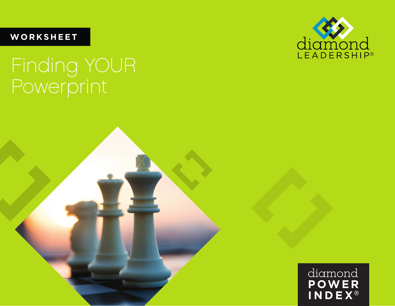**WORKSHEET**

# Finding YOUR Powerprint



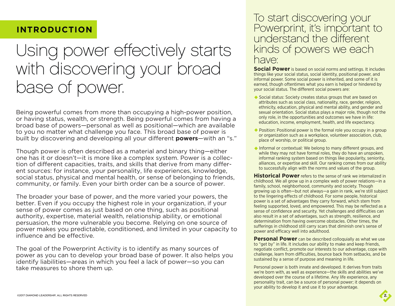#### **INTRODUCTION**

## Using power effectively starts with discovering your broad base of power.

Being powerful comes from more than occupying a high-power position, or having status, wealth, or strength. Being powerful comes from having a broad base of powers—personal as well as positional—which are available to you no matter what challenge you face. This broad base of power is built by discovering and developing all your different **powers**—with an "s."

Though power is often described as a material and binary thing—either one has it or doesn't—it is more like a complex system. Power is a collec tion of different capacities, traits, and skills that derive from many differ ent sources: for instance, your personality, life experiences, knowledge, social status, physical and mental health, or sense of belonging to friends, community, or family. Even your birth order can be a source of power.

The broader your base of power, and the more varied your powers, the better. Even if you occupy the highest role in your organization, if your sense of power comes as just based on one thing, such as positional authority, expertise, material wealth, relationship ability, or emotional persuasion, the more vulnerable you become. Relying on one source of power makes you predictable, conditioned, and limited in your capacity to influence and be effective.

The goal of the Powerprint Activity is to identify as many sources of power as you can to develop your broad base of power. It also helps you identify liabilities—areas in which you feel a lack of power—so you can take measures to shore them up.

#### To start discovering your Powerprint, it's important to understand the different kinds of powers we each have:

**Social Power** is based on social norms and settings. It includes things like your social status, social identity, positional power, and informal power. Some social power is inherited, and some of it is earned, though oftentimes what you earn is helped or hindered by your social status. The different social powers are:

- ◆ Social status: Society creates status groups that are based on attributes such as social class, nationality, race, gender, religion, ethnicity, education, physical and mental ability, and gender and sexual orientation. Social status plays a major role, though not the only role, in the opportunities and outcomes we have in life: education, income, employment, health, and life expectancy.
- ◆ Position: Positional power is the formal role you occupy in a group or organization such as a workplace, volunteer association, club, place of worship, or political group.
- $\triangle$  Informal or contextual: We belong to many different groups, and while they may not have formal roles, they do have an unspoken, informal ranking system based on things like popularity, seniority, alliances, or expertise and skill. Our ranking comes from our ability to successfully align with the norms and values of the group.

**Historical Power** refers to the sense of rank we internalized in childhood. We all grow up in a complex web of power relations—in a family, school, neighborhood, community and society. Though growing up is often—but not always—a gain in rank, we're still subject to the lingering effects of childhood. For some people, historical power is a set of advantages they carry forward, which stem from feeling supported, loved, and empowered. This may be reflected as a sense of confidence and security. Yet challenges and difficulties can also result in a set of advantages, such as strength, resilience, and determination from having overcome obstacles. Other times, the sufferings in childhood still carry scars that diminish one's sense of power and efficacy well into adulthood.

**Personal Power** can be described colloquially as what we use to "get by" in life. It includes our ability to make and keep friends, negotiate conflict, promote our interests to our advantage, cope with challenge, learn from difficulties, bounce back from setbacks, and be sustained by a sense of purpose and meaning in life.

Personal power is both innate and developed. It derives from traits we're born with, as well as experience—the skills and abilities we've developed over the course of a lifetime. Any life experience, any personality trait, can be a source of personal power; it depends on your ability to develop it and use it to your advantage.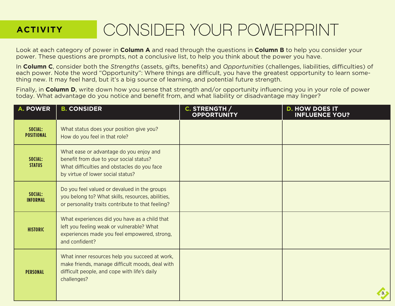### **ACTIVITY**

## CONSIDER YOUR POWERPRINT

Look at each category of power in **Column A** and read through the questions in **Column B** to help you consider your power. These questions are prompts, not a conclusive list, to help you think about the power you have.

In **Column C**, consider both the *Strengths* (assets, gifts, benefits) and *Opportunities* (challenges, liabilities, difficulties) of each power. Note the word "Opportunity": Where things are difficult, you have the greatest opportunity to learn something new. It may feel hard, but it's a big source of learning, and potential future strength.

Finally, in **Column D**, write down how you sense that strength and/or opportunity influencing you in your role of power today. What advantage do you notice and benefit from, and what liability or disadvantage may linger?

| <b>A. POWER</b>              | <b>B. CONSIDER</b>                                                                                                                                                     | C. STRENGTH /<br><b>OPPORTUNITY</b> | <b>D. HOW DOES IT</b><br><b>INFLUENCE YOU?</b> |
|------------------------------|------------------------------------------------------------------------------------------------------------------------------------------------------------------------|-------------------------------------|------------------------------------------------|
| SOCIAL:<br><b>POSITIONAL</b> | What status does your position give you?<br>How do you feel in that role?                                                                                              |                                     |                                                |
| SOCIAL:<br><b>STATUS</b>     | What ease or advantage do you enjoy and<br>benefit from due to your social status?<br>What difficulties and obstacles do you face<br>by virtue of lower social status? |                                     |                                                |
| SOCIAL:<br><b>INFORMAL</b>   | Do you feel valued or devalued in the groups<br>you belong to? What skills, resources, abilities,<br>or personality traits contribute to that feeling?                 |                                     |                                                |
| <b>HISTORIC</b>              | What experiences did you have as a child that<br>left you feeling weak or vulnerable? What<br>experiences made you feel empowered, strong,<br>and confident?           |                                     |                                                |
| <b>PERSONAL</b>              | What inner resources help you succeed at work,<br>make friends, manage difficult moods, deal with<br>difficult people, and cope with life's daily<br>challenges?       |                                     |                                                |
|                              |                                                                                                                                                                        |                                     |                                                |